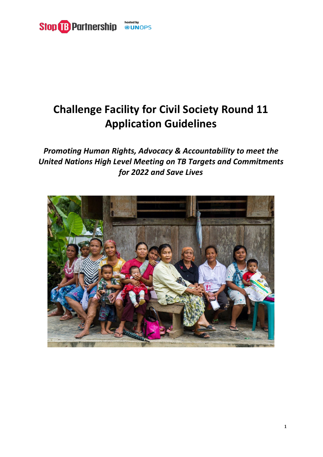

# **Challenge Facility for Civil Society Round 11 Application Guidelines**

*Promoting Human Rights, Advocacy & Accountability to meet the United Nations High Level Meeting on TB Targets and Commitments for 2022 and Save Lives*

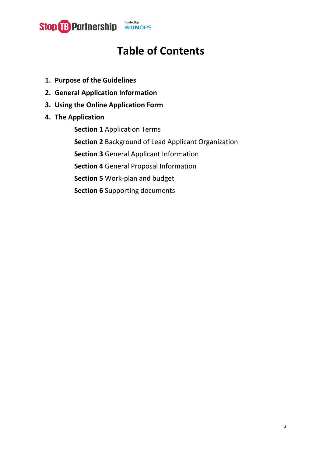

## **Table of Contents**

- **1. Purpose of the Guidelines**
- **2. General Application Information**
- **3. Using the Online Application Form**
- **4. The Application**

**Section 1** Application Terms **Section 2** Background of Lead Applicant Organization **Section 3** General Applicant Information **Section 4** General Proposal Information **Section 5** Work-plan and budget **Section 6** Supporting documents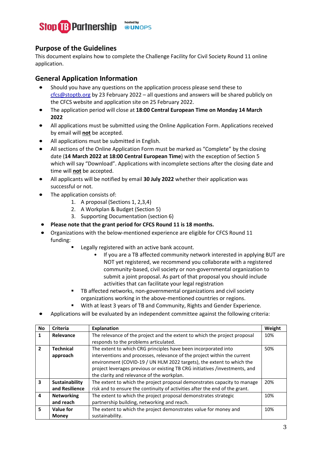

#### **Purpose of the Guidelines**

This document explains how to complete the Challenge Facility for Civil Society Round 11 online application.

#### **General Application Information**

- Should you have any questions on the application process please send these to [cfcs@stoptb.org](mailto:cfcs@stoptb.org) by 23 February 2022 – all questions and answers will be shared publicly on the CFCS website and application site on 25 February 2022.
- The application period will close at **18:00 Central European Time on Monday 14 March 2022**
- All applications must be submitted using the Online Application Form. Applications received by email will **not** be accepted.
- All applications must be submitted in English.
- All sections of the Online Application Form must be marked as "Complete" by the closing date (**14 March 2022 at 18:00 Central European Time**) with the exception of Section 5 which will say "Download". Applications with incomplete sections after the closing date and time will **not** be accepted.
- All applicants will be notified by email **30 July 2022** whether their application was successful or not.
- The application consists of:
	- 1. A proposal (Sections 1, 2,3,4)
	- 2. A Workplan & Budget (Section 5)
	- 3. Supporting Documentation (section 6)
- **Please note that the grant period for CFCS Round 11 is 18 months.**
- Organizations with the below-mentioned experience are eligible for CFCS Round 11 funding:
	- Legally registered with an active bank account.
		- If you are a TB affected community network interested in applying BUT are NOT yet registered, we recommend you collaborate with a registered community-based, civil society or non-governmental organization to submit a joint proposal. As part of that proposal you should include activities that can facilitate your legal registration
	- **TB** affected networks, non-governmental organizations and civil society organizations working in the above-mentioned countries or regions.
	- With at least 3 years of TB and Community, Rights and Gender Experience.
- Applications will be evaluated by an independent committee against the following criteria:

| <b>No</b>               | <b>Criteria</b>   | <b>Explanation</b>                                                          | Weight |
|-------------------------|-------------------|-----------------------------------------------------------------------------|--------|
| 1                       | Relevance         | The relevance of the project and the extent to which the project proposal   | 10%    |
|                         |                   | responds to the problems articulated.                                       |        |
| $\overline{2}$          | <b>Technical</b>  | The extent to which CRG principles have been incorporated into              | 50%    |
|                         | approach          | interventions and processes, relevance of the project within the current    |        |
|                         |                   | environment (COVID-19 / UN HLM 2022 targets), the extent to which the       |        |
|                         |                   | project leverages previous or existing TB CRG initiatives /investments, and |        |
|                         |                   | the clarity and relevance of the workplan.                                  |        |
| $\overline{\mathbf{3}}$ | Sustainability    | The extent to which the project proposal demonstrates capacity to manage    | 20%    |
|                         | and Resilience    | risk and to ensure the continuity of activities after the end of the grant. |        |
| $\overline{\mathbf{4}}$ | <b>Networking</b> | The extent to which the project proposal demonstrates strategic             | 10%    |
|                         | and reach         | partnership building, networking and reach.                                 |        |
| 5                       | Value for         | The extent to which the project demonstrates value for money and            | 10%    |
|                         | <b>Money</b>      | sustainability.                                                             |        |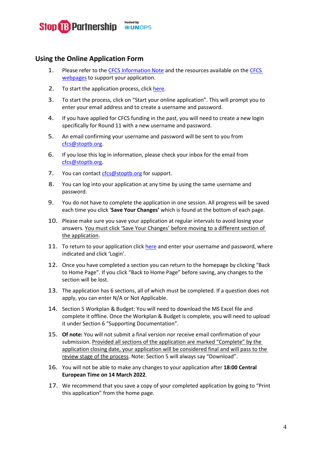

#### **Using the Online Application Form**

- 1. Please refer to th[e CFCS Information Note](https://www.stoptb.org/cfcs-round-11-information-note) and the resources available on th[e CFCS](https://www.stoptb.org/prioritize-people-human-rights-gender/fund-tb-communities-civil-society)  [webpages](https://www.stoptb.org/prioritize-people-human-rights-gender/fund-tb-communities-civil-society) to support your application.
- 2. To start the application process, click [here.](https://stoptb.org/global/awards/cfcs/r11/)
- 3. To start the process, click on "Start your online application". This will prompt you to enter your email address and to create a username and password.
- 4. If you have applied for CFCS funding in the past, you will need to create a new login specifically for Round 11 with a new username and password.
- 5. An email confirming your username and password will be sent to you from [cfcs@stoptb.org.](mailto:cfcs@stoptb.org)
- 6. If you lose this log in information, please check your inbox for the email from [cfcs@stoptb.org.](mailto:cfcs@stoptb.org)
- 7. You can contact [cfcs@stoptb.org](mailto:cfcs@stoptb.org) for support.
- 8. You can log into your application at any time by using the same username and password.
- 9. You do not have to complete the application in one session. All progress will be saved each time you click '**Save Your Changes'** which is found at the bottom of each page.
- 10. Please make sure you save your application at regular intervals to avoid losing your answers. You must click 'Save Your Changes' before moving to a different section of the application.
- 11. To return to your application click [here](https://stoptb.org/global/awards/cfcs/r11/) and enter your username and password, where indicated and click 'Login'.
- 12. Once you have completed a section you can return to the homepage by clicking "Back to Home Page". If you click "Back to Home Page" before saving, any changes to the section will be lost.
- 13. The application has 6 sections, all of which must be completed. If a question does not apply, you can enter N/A or Not Applicable.
- 14. Section 5 Workplan & Budget: You will need to download the MS Excel file and complete it offline. Once the Workplan & Budget is complete, you will need to upload it under Section 6 "Supporting Documentation".
- 15. **Of note:** You will not submit a final version nor receive email confirmation of your submission. Provided all sections of the application are marked "Complete" by the application closing date, your application will be considered final and will pass to the review stage of the process. Note: Section 5 will always say "Download".
- 16. You will not be able to make any changes to your application after **18:00 Central European Time on 14 March 2022**.
- 17. We recommend that you save a copy of your completed application by going to "Print this application" from the home page.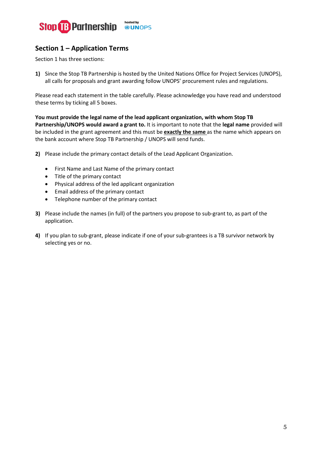

## **Section 1 – Application Terms**

Section 1 has three sections:

**1)** Since the Stop TB Partnership is hosted by the United Nations Office for Project Services (UNOPS), all calls for proposals and grant awarding follow UNOPS' procurement rules and regulations.

Please read each statement in the table carefully. Please acknowledge you have read and understood these terms by ticking all 5 boxes.

**You must provide the legal name of the lead applicant organization, with whom Stop TB Partnership/UNOPS would award a grant to.** It is important to note that the **legal name** provided will be included in the grant agreement and this must be **exactly the same** as the name which appears on the bank account where Stop TB Partnership / UNOPS will send funds.

- **2)** Please include the primary contact details of the Lead Applicant Organization.
	- First Name and Last Name of the primary contact
	- Title of the primary contact
	- Physical address of the led applicant organization
	- Email address of the primary contact
	- Telephone number of the primary contact
- **3)** Please include the names (in full) of the partners you propose to sub-grant to, as part of the application.
- **4)** If you plan to sub-grant, please indicate if one of your sub-grantees is a TB survivor network by selecting yes or no.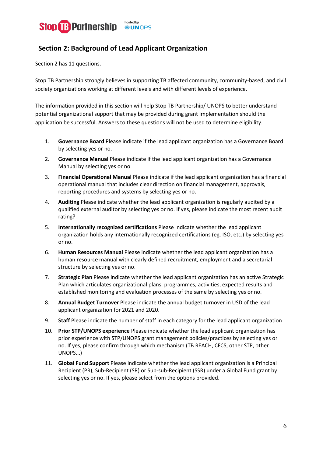

## **Section 2: Background of Lead Applicant Organization**

Section 2 has 11 questions.

Stop TB Partnership strongly believes in supporting TB affected community, community-based, and civil society organizations working at different levels and with different levels of experience.

The information provided in this section will help Stop TB Partnership/ UNOPS to better understand potential organizational support that may be provided during grant implementation should the application be successful. Answers to these questions will not be used to determine eligibility.

- 1. **Governance Board** Please indicate if the lead applicant organization has a Governance Board by selecting yes or no.
- 2. **Governance Manual** Please indicate if the lead applicant organization has a Governance Manual by selecting yes or no
- 3. **Financial Operational Manual** Please indicate if the lead applicant organization has a financial operational manual that includes clear direction on financial management, approvals, reporting procedures and systems by selecting yes or no.
- 4. **Auditing** Please indicate whether the lead applicant organization is regularly audited by a qualified external auditor by selecting yes or no. If yes, please indicate the most recent audit rating?
- 5. **Internationally recognized certifications** Please indicate whether the lead applicant organization holds any internationally recognized certifications (eg. ISO, etc.) by selecting yes or no.
- 6. **Human Resources Manual** Please indicate whether the lead applicant organization has a human resource manual with clearly defined recruitment, employment and a secretarial structure by selecting yes or no.
- 7. **Strategic Plan** Please indicate whether the lead applicant organization has an active Strategic Plan which articulates organizational plans, programmes, activities, expected results and established monitoring and evaluation processes of the same by selecting yes or no.
- 8. **Annual Budget Turnover** Please indicate the annual budget turnover in USD of the lead applicant organization for 2021 and 2020.
- 9. **Staff** Please indicate the number of staff in each category for the lead applicant organization
- 10. **Prior STP/UNOPS experience** Please indicate whether the lead applicant organization has prior experience with STP/UNOPS grant management policies/practices by selecting yes or no. If yes, please confirm through which mechanism (TB REACH, CFCS, other STP, other UNOPS...)
- 11. **Global Fund Support** Please indicate whether the lead applicant organization is a Principal Recipient (PR), Sub-Recipient (SR) or Sub-sub-Recipient (SSR) under a Global Fund grant by selecting yes or no. If yes, please select from the options provided.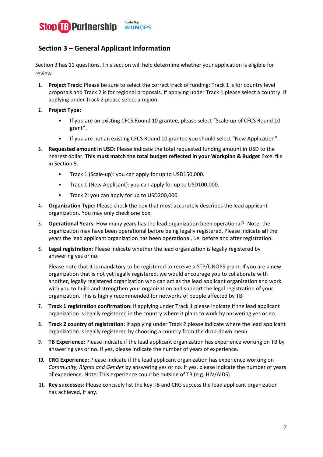

## **Section 3 – General Applicant Information**

Section 3 has 11 questions. This section will help determine whether your application is eligible for review.

- **1. Project Track:** Please be sure to select the correct track of funding: Track 1 is for country level proposals and Track 2 is for regional proposals. If applying under Track 1 please select a country. If applying under Track 2 please select a region.
- **2. Project Type:**
	- If you are an existing CFCS Round 10 grantee, please select "Scale-up of CFCS Round 10 grant".
	- If you are not an existing CFCS Round 10 grantee you should select "New Application".
- **3. Requested amount in USD**: Please indicate the total requested funding amount in USD to the nearest dollar. **This must match the total budget reflected in your Workplan & Budget** Excel file in Section 5.
	- Track 1 (Scale-up): you can apply for up to USD150,000.
	- Track 1 (New Applicant): you can apply for up to USD100,000.
	- Track 2: you can apply for up to USD200,000.
- **4. Organization Type:** Please check the box that most accurately describes the lead applicant organization. You may only check one box.
- **5. Operational Years:** How many years has the lead organization been operational? Note: the organization may have been operational before being legally registered. Please indicate **all** the years the lead applicant organization has been operational, i.e. before and after registration.
- **6. Legal registration**: Please indicate whether the lead organization is legally registered by answering yes or no.

Please note that it is mandatory to be registered to receive a STP/UNOPS grant. If you are a new organization that is not yet legally registered, we would encourage you to collaborate with another, legally registered organization who can act as the lead applicant organization and work with you to build and strengthen your organization and support the legal registration of your organization. This is highly recommended for networks of people affected by TB.

- **7. Track 1 registration confirmation:** If applying under Track 1 please indicate if the lead applicant organization is legally registered in the country where it plans to work by answering yes or no.
- **8. Track 2 country of registration:** If applying under Track 2 please indicate where the lead applicant organization is legally registered by choosing a country from the drop-down menu.
- **9. TB Experience:** Please indicate if the lead applicant organization has experience working on TB by answering yes or no. If yes, please indicate the number of years of experience.
- **10. CRG Experience:** Please indicate if the lead applicant organization has experience working on *Community, Rights and Gender* by answering yes or no. If yes, please indicate the number of years of experience. Note: This experience could be outside of TB (e.g. HIV/AIDS).
- **11. Key successes:** Please concisely list the key TB and CRG success the lead applicant organization has achieved, if any.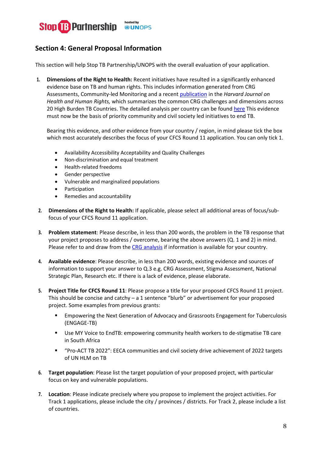

## **Section 4: General Proposal Information**

This section will help Stop TB Partnership/UNOPS with the overall evaluation of your application.

**1. Dimensions of the Right to Health:** Recent initiatives have resulted in a significantly enhanced evidence base on TB and human rights. This includes information generated from CRG Assessments, Community-led Monitoring and a recent [publication](https://www.hhrjournal.org/2021/12/building-the-evidence-for-a-rights-based-people-centered-gender-transformative-tuberculosis-response-an-analysis-of-the-stop-tb-partnership-community-rights-and-gender-tuberculosis-assessment/) in the *Harvard Journal on Health and Human Rights,* which summarizes the common CRG challenges and dimensions across 20 High Burden TB Countries. The detailed analysis per country can be found [here](https://www.stoptb.org/crg-assessment-results-analysis-0) This evidence must now be the basis of priority community and civil society led initiatives to end TB.

Bearing this evidence, and other evidence from your country / region, in mind please tick the box which most accurately describes the focus of your CFCS Round 11 application. You can only tick 1.

- Availability Accessibility Acceptability and Quality Challenges
- Non-discrimination and equal treatment
- Health-related freedoms
- Gender perspective
- Vulnerable and marginalized populations
- **Participation**
- Remedies and accountability
- **2. Dimensions of the Right to Health:** If applicable, please select all additional areas of focus/subfocus of your CFCS Round 11 application.
- **3. Problem statement**: Please describe, in less than 200 words, the problem in the TB response that your project proposes to address / overcome, bearing the above answers (Q. 1 and 2) in mind. Please refer to and draw from th[e CRG analysis](https://www.stoptb.org/crg-assessment-results-analysis-0) if information is available for your country.
- **4. Available evidence**: Please describe, in less than 200 words, existing evidence and sources of information to support your answer to Q.3 e.g. CRG Assessment, Stigma Assessment, National Strategic Plan, Research etc. If there is a lack of evidence, please elaborate.
- **5. Project Title for CFCS Round 11**: Please propose a title for your proposed CFCS Round 11 project. This should be concise and catchy – a 1 sentence "blurb" or advertisement for your proposed project. Some examples from previous grants:
	- Empowering the Next Generation of Advocacy and Grassroots Engagement for Tuberculosis (ENGAGE-TB)
	- Use MY Voice to EndTB: empowering community health workers to de-stigmatise TB care in South Africa
	- "Pro-ACT TB 2022": EECA communities and civil society drive achievement of 2022 targets of UN HLM on TB
- **6. Target population**: Please list the target population of your proposed project, with particular focus on key and vulnerable populations.
- **7. Location**: Please indicate precisely where you propose to implement the project activities. For Track 1 applications, please include the city / provinces / districts. For Track 2, please include a list of countries.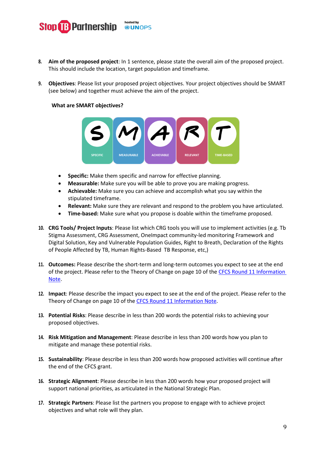

- **8. Aim of the proposed project**: In 1 sentence, please state the overall aim of the proposed project. This should include the location, target population and timeframe.
- **9. Objectives**: Please list your proposed project objectives. Your project objectives should be SMART (see below) and together must achieve the aim of the project.

#### **What are SMART objectives?**



- **Specific:** Make them specific and narrow for effective planning.
- **Measurable:** Make sure you will be able to prove you are making progress.
- **Achievable:** Make sure you can achieve and accomplish what you say within the stipulated timeframe.
- **Relevant:** Make sure they are relevant and respond to the problem you have articulated.
- **Time-based:** Make sure what you propose is doable within the timeframe proposed.
- **10. CRG Tools/ Project Inputs**: Please list which CRG tools you will use to implement activities (e.g. Tb Stigma Assessment, CRG Assessment, OneImpact community-led monitoring Framework and Digital Solution, Key and Vulnerable Population Guides, Right to Breath, Declaration of the Rights of People Affected by TB, Human Rights-Based TB Response, etc,)
- **11. Outcomes:** Please describe the short-term and long-term outcomes you expect to see at the end of the project. Please refer to the Theory of Change on page 10 of the CFCS Round 11 Information [Note.](https://www.stoptb.org/cfcs-round-11-information-note)
- **12. Impact**: Please describe the impact you expect to see at the end of the project. Please refer to the Theory of Change on page 10 of th[e CFCS Round 11 Information Note.](https://www.stoptb.org/cfcs-round-11-information-note)
- **13. Potential Risks**: Please describe in less than 200 words the potential risks to achieving your proposed objectives.
- **14. Risk Mitigation and Management**: Please describe in less than 200 words how you plan to mitigate and manage these potential risks.
- **15. Sustainability**: Please describe in less than 200 words how proposed activities will continue after the end of the CFCS grant.
- **16. Strategic Alignment**: Please describe in less than 200 words how your proposed project will support national priorities, as articulated in the National Strategic Plan.
- **17. Strategic Partners**: Please list the partners you propose to engage with to achieve project objectives and what role will they plan.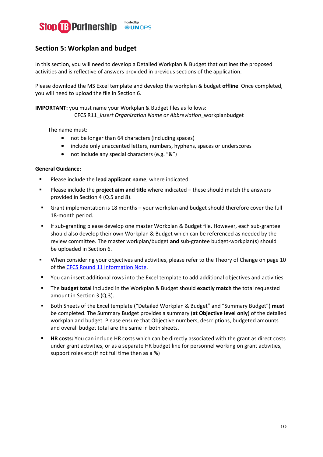

### **Section 5: Workplan and budget**

In this section, you will need to develop a Detailed Workplan & Budget that outlines the proposed activities and is reflective of answers provided in previous sections of the application.

Please download the MS Excel template and develop the workplan & budget **offline**. Once completed, you will need to upload the file in Section 6.

**IMPORTANT:** you must name your Workplan & Budget files as follows: CFCS R11\_*insert Organization Name or Abbreviation*\_workplanbudget

The name must:

- not be longer than 64 characters (including spaces)
- include only unaccented letters, numbers, hyphens, spaces or underscores
- not include any special characters (e.g. "&")

#### **General Guidance:**

- **Please include the lead applicant name**, where indicated.
- Please include the **project aim and title** where indicated these should match the answers provided in Section 4 (Q.5 and 8).
- Grant implementation is 18 months your workplan and budget should therefore cover the full 18-month period.
- If sub-granting please develop one master Workplan & Budget file. However, each sub-grantee should also develop their own Workplan & Budget which can be referenced as needed by the review committee. The master workplan/budget **and** sub-grantee budget-workplan(s) should be uploaded in Section 6.
- When considering your objectives and activities, please refer to the Theory of Change on page 10 of th[e CFCS Round 11 Information Note.](https://www.stoptb.org/cfcs-round-11-information-note)
- You can insert additional rows into the Excel template to add additional objectives and activities
- The **budget total** included in the Workplan & Budget should **exactly match** the total requested amount in Section 3 (Q.3).
- Both Sheets of the Excel template ("Detailed Workplan & Budget" and "Summary Budget") **must** be completed. The Summary Budget provides a summary (**at Objective level only**) of the detailed workplan and budget. Please ensure that Objective numbers, descriptions, budgeted amounts and overall budget total are the same in both sheets.
- **HR costs:** You can include HR costs which can be directly associated with the grant as direct costs under grant activities, or as a separate HR budget line for personnel working on grant activities, support roles etc (if not full time then as a %)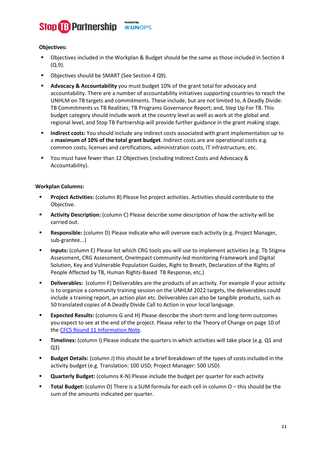

#### **Objectives:**

- Objectives included in the Workplan & Budget should be the same as those included in Section 4 (Q.9).
- Objectives should be SMART (See Section 4 Q9).
- **Advocacy & Accountability** you must budget 10% of the grant total for advocacy and accountability. There are a number of accountability initiatives supporting countries to reach the UNHLM on TB targets and commitments. These include, but are not limited to, A Deadly Divide: TB Commitments vs TB Realities; TB Programs Governance Report; and, Step Up For TB. This budget category should include work at the country level as well as work at the global and regional level, and Stop TB Partnership will provide further guidance in the grant making stage.
- **Indirect costs:** You should include any indirect costs associated with grant implementation up to a **maximum of 10% of the total grant budget**. Indirect costs are are operational costs e.g. common costs, licenses and certifications, administration costs, IT infrastructure, etc.
- You must have fewer than 12 Objectives (including Indirect Costs and Advocacy & Accountability).

#### **Workplan Columns:**

- **Project Activities:** (column B) Please list project activities. Activities should contribute to the Objective.
- **Activity Description:** (column C) Please describe some description of how the activity will be carried out.
- **Responsible:** (column D) Please indicate who will oversee each activity (e.g. Project Manager, sub-grantee...)
- **Inputs:** (column E) Please list which CRG tools you will use to implement activities (e.g. Tb Stigma Assessment, CRG Assessment, OneImpact community-led monitoring Framework and Digital Solution, Key and Vulnerable Population Guides, Right to Breath, Declaration of the Rights of People Affected by TB, Human Rights-Based TB Response, etc,)
- **Deliverables:** (column F) Deliverables are the products of an activity. For example if your activity is to organize a community training session on the UNHLM 2022 targets, the deliverables could include a training report, an action plan etc. Deliverables can also be tangible products, such as 50 translated copies of A Deadly Divide Call to Action in your local language.
- **Expected Results:** (columns G and H) Please describe the short-term and long-term outcomes you expect to see at the end of the project. Please refer to the Theory of Change on page 10 of the [CFCS Round 11 Information Note.](https://www.stoptb.org/cfcs-round-11-information-note)
- **Timelines:** (column I) Please indicate the quarters in which activities will take place (e.g. Q1 and Q3)
- **Budget Details:** (column J) this should be a brief breakdown of the types of costs included in the activity budget (e.g. Translation: 100 USD; Project Manager: 500 USD)
- **Quarterly Budget:** (columns K-N) Please include the budget per quarter for each activity
- **Total Budget:** (column O) There is a SUM formula for each cell in column O this should be the sum of the amounts indicated per quarter.